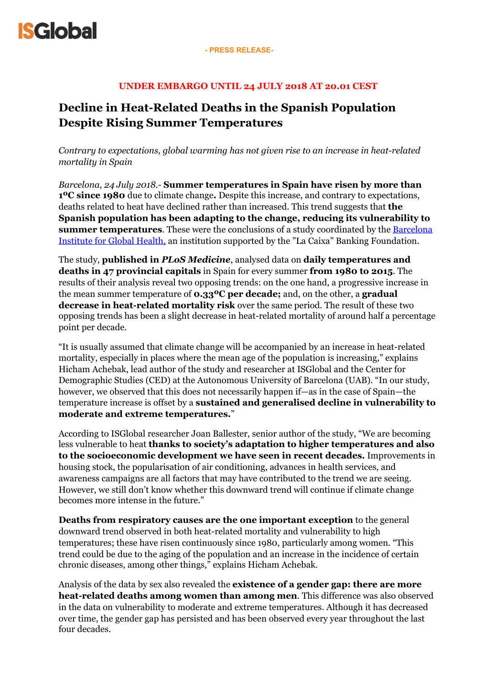

#### **UNDER EMBARGO UNTIL 24 JULY 2018 AT 20.01 CEST**

## **Decline in Heat-Related Deaths in the Spanish Population Despite Rising Summer Temperatures**

*Contrary to expectations, global warming has not given rise to an increase in heat-related mortality in Spain* 

*Barcelona, 24 July 2018.-* **Summer temperatures in Spain have risen by more than 1ºC since 1980** due to climate change**.** Despite this increase, and contrary to expectations, deaths related to heat have declined rather than increased. This trend suggests that **the Spanish population has been adapting to the change, reducing its vulnerability to summer temperatures**. These were the conclusions of a study coordinated by the Barcelona [Institute for Global Health, an institution supported by the "La Caixa" Banking Foundation.](http://www.isglobal.org/)

The study, **published in** *PLoS Medicine*, analysed data on **daily temperatures and deaths in 47 provincial capitals** in Spain for every summer **from 1980 to 2015**. The results of their analysis reveal two opposing trends: on the one hand, a progressive increase in the mean summer temperature of **0.33ºC per decade;** and, on the other, a **gradual decrease in heat-related mortality risk** over the same period. The result of these two opposing trends has been a slight decrease in heat-related mortality of around half a percentage point per decade.

"It is usually assumed that climate change will be accompanied by an increase in heat-related mortality, especially in places where the mean age of the population is increasing," explains Hicham Achebak, lead author of the study and researcher at ISGlobal and the Center for Demographic Studies (CED) at the Autonomous University of Barcelona (UAB). "In our study, however, we observed that this does not necessarily happen if—as in the case of Spain—the temperature increase is offset by a **sustained and generalised decline in vulnerability to moderate and extreme temperatures.**"

According to ISGlobal researcher Joan Ballester, senior author of the study, "We are becoming less vulnerable to heat **thanks to society's adaptation to higher temperatures and also to the socioeconomic development we have seen in recent decades.** Improvements in housing stock, the popularisation of air conditioning, advances in health services, and awareness campaigns are all factors that may have contributed to the trend we are seeing. However, we still don't know whether this downward trend will continue if climate change becomes more intense in the future."

**Deaths from respiratory causes are the one important exception** to the general downward trend observed in both heat-related mortality and vulnerability to high temperatures; these have risen continuously since 1980, particularly among women. "This trend could be due to the aging of the population and an increase in the incidence of certain chronic diseases, among other things," explains Hicham Achebak.

Analysis of the data by sex also revealed the **existence of a gender gap: there are more heat-related deaths among women than among men**. This difference was also observed in the data on vulnerability to moderate and extreme temperatures. Although it has decreased over time, the gender gap has persisted and has been observed every year throughout the last four decades.